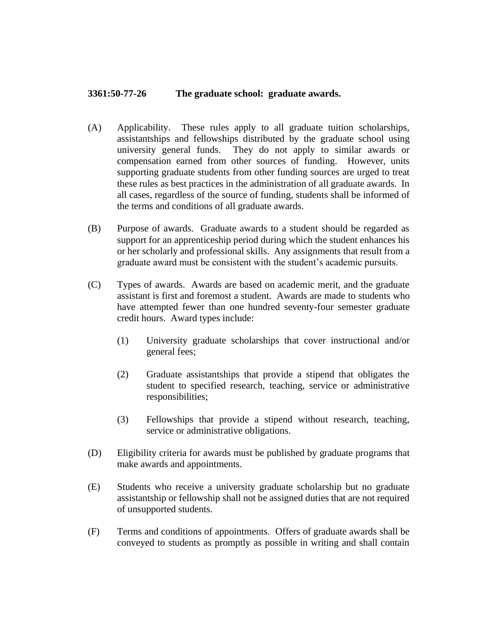## **3361:50-77-26 The graduate school: graduate awards.**

- (A) Applicability. These rules apply to all graduate tuition scholarships, assistantships and fellowships distributed by the graduate school using university general funds. They do not apply to similar awards or compensation earned from other sources of funding. However, units supporting graduate students from other funding sources are urged to treat these rules as best practices in the administration of all graduate awards. In all cases, regardless of the source of funding, students shall be informed of the terms and conditions of all graduate awards.
- (B) Purpose of awards. Graduate awards to a student should be regarded as support for an apprenticeship period during which the student enhances his or her scholarly and professional skills. Any assignments that result from a graduate award must be consistent with the student's academic pursuits.
- (C) Types of awards. Awards are based on academic merit, and the graduate assistant is first and foremost a student. Awards are made to students who have attempted fewer than one hundred seventy-four semester graduate credit hours. Award types include:
	- (1) University graduate scholarships that cover instructional and/or general fees;
	- (2) Graduate assistantships that provide a stipend that obligates the student to specified research, teaching, service or administrative responsibilities;
	- (3) Fellowships that provide a stipend without research, teaching, service or administrative obligations.
- (D) Eligibility criteria for awards must be published by graduate programs that make awards and appointments.
- (E) Students who receive a university graduate scholarship but no graduate assistantship or fellowship shall not be assigned duties that are not required of unsupported students.
- (F) Terms and conditions of appointments. Offers of graduate awards shall be conveyed to students as promptly as possible in writing and shall contain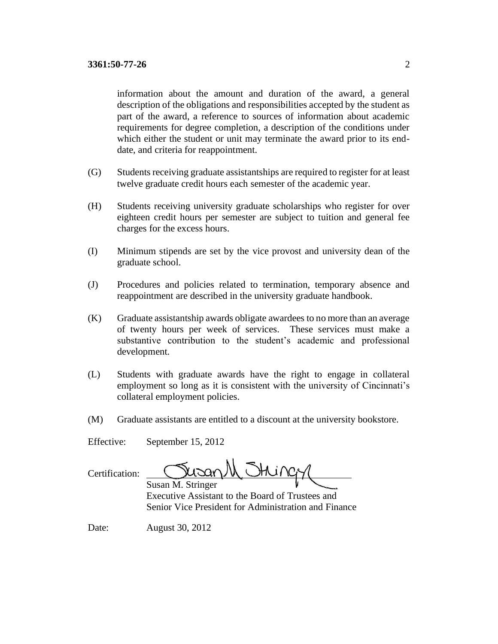information about the amount and duration of the award, a general description of the obligations and responsibilities accepted by the student as part of the award, a reference to sources of information about academic requirements for degree completion, a description of the conditions under which either the student or unit may terminate the award prior to its enddate, and criteria for reappointment.

- (G) Students receiving graduate assistantships are required to register for at least twelve graduate credit hours each semester of the academic year.
- (H) Students receiving university graduate scholarships who register for over eighteen credit hours per semester are subject to tuition and general fee charges for the excess hours.
- (I) Minimum stipends are set by the vice provost and university dean of the graduate school.
- (J) Procedures and policies related to termination, temporary absence and reappointment are described in the university graduate handbook.
- (K) Graduate assistantship awards obligate awardees to no more than an average of twenty hours per week of services. These services must make a substantive contribution to the student's academic and professional development.
- (L) Students with graduate awards have the right to engage in collateral employment so long as it is consistent with the university of Cincinnati's collateral employment policies.
- (M) Graduate assistants are entitled to a discount at the university bookstore.

Effective: September 15, 2012

| Certification: |  |
|----------------|--|
|                |  |

Jusan String

Susan M. Stringer Executive Assistant to the Board of Trustees and Senior Vice President for Administration and Finance

Date: August 30, 2012